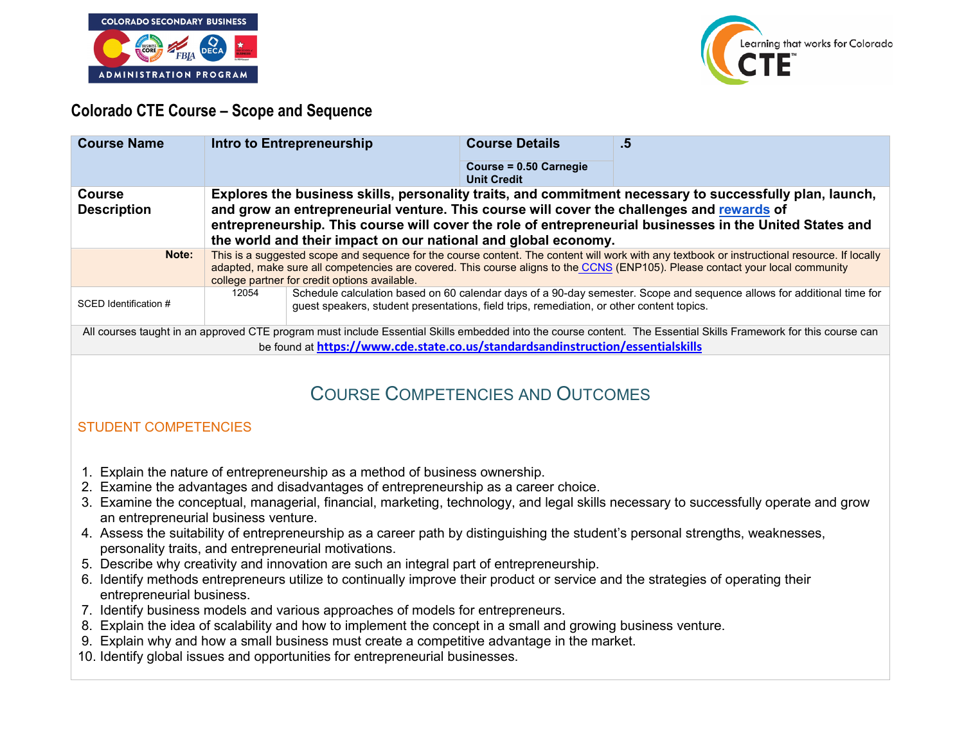



## **Colorado CTE Course – Scope and Sequence**

| <b>Course Name</b>                                                                                                                                                                                                                                  | Intro to Entrepreneurship                                                                                                                                                                                                                                                                                                      |                                                                                           | <b>Course Details</b>                        | .5                                                                                                                     |
|-----------------------------------------------------------------------------------------------------------------------------------------------------------------------------------------------------------------------------------------------------|--------------------------------------------------------------------------------------------------------------------------------------------------------------------------------------------------------------------------------------------------------------------------------------------------------------------------------|-------------------------------------------------------------------------------------------|----------------------------------------------|------------------------------------------------------------------------------------------------------------------------|
|                                                                                                                                                                                                                                                     |                                                                                                                                                                                                                                                                                                                                |                                                                                           | Course = 0.50 Carnegie<br><b>Unit Credit</b> |                                                                                                                        |
| <b>Course</b><br><b>Description</b>                                                                                                                                                                                                                 | Explores the business skills, personality traits, and commitment necessary to successfully plan, launch,<br>and grow an entrepreneurial venture. This course will cover the challenges and rewards of                                                                                                                          |                                                                                           |                                              |                                                                                                                        |
|                                                                                                                                                                                                                                                     | entrepreneurship. This course will cover the role of entrepreneurial businesses in the United States and<br>the world and their impact on our national and global economy.                                                                                                                                                     |                                                                                           |                                              |                                                                                                                        |
| Note:                                                                                                                                                                                                                                               | This is a suggested scope and sequence for the course content. The content will work with any textbook or instructional resource. If locally<br>adapted, make sure all competencies are covered. This course aligns to the CCNS (ENP105). Please contact your local community<br>college partner for credit options available. |                                                                                           |                                              |                                                                                                                        |
| SCED Identification #                                                                                                                                                                                                                               | 12054                                                                                                                                                                                                                                                                                                                          | guest speakers, student presentations, field trips, remediation, or other content topics. |                                              | Schedule calculation based on 60 calendar days of a 90-day semester. Scope and sequence allows for additional time for |
| All courses taught in an approved CTE program must include Essential Skills embedded into the course content. The Essential Skills Framework for this course can<br>be found at https://www.cde.state.co.us/standardsandinstruction/essentialskills |                                                                                                                                                                                                                                                                                                                                |                                                                                           |                                              |                                                                                                                        |
|                                                                                                                                                                                                                                                     |                                                                                                                                                                                                                                                                                                                                |                                                                                           |                                              |                                                                                                                        |
| <b>COURSE COMPETENCIES AND OUTCOMES</b>                                                                                                                                                                                                             |                                                                                                                                                                                                                                                                                                                                |                                                                                           |                                              |                                                                                                                        |

## STUDENT COMPETENCIES

- 1. Explain the nature of entrepreneurship as a method of business ownership.
- 2. Examine the advantages and disadvantages of entrepreneurship as a career choice.
- 3. Examine the conceptual, managerial, financial, marketing, technology, and legal skills necessary to successfully operate and grow an entrepreneurial business venture.
- 4. Assess the suitability of entrepreneurship as a career path by distinguishing the student's personal strengths, weaknesses, personality traits, and entrepreneurial motivations.
- 5. Describe why creativity and innovation are such an integral part of entrepreneurship.
- 6. Identify methods entrepreneurs utilize to continually improve their product or service and the strategies of operating their entrepreneurial business.
- 7. Identify business models and various approaches of models for entrepreneurs.
- 8. Explain the idea of scalability and how to implement the concept in a small and growing business venture.
- 9. Explain why and how a small business must create a competitive advantage in the market.
- 10. Identify global issues and opportunities for entrepreneurial businesses.